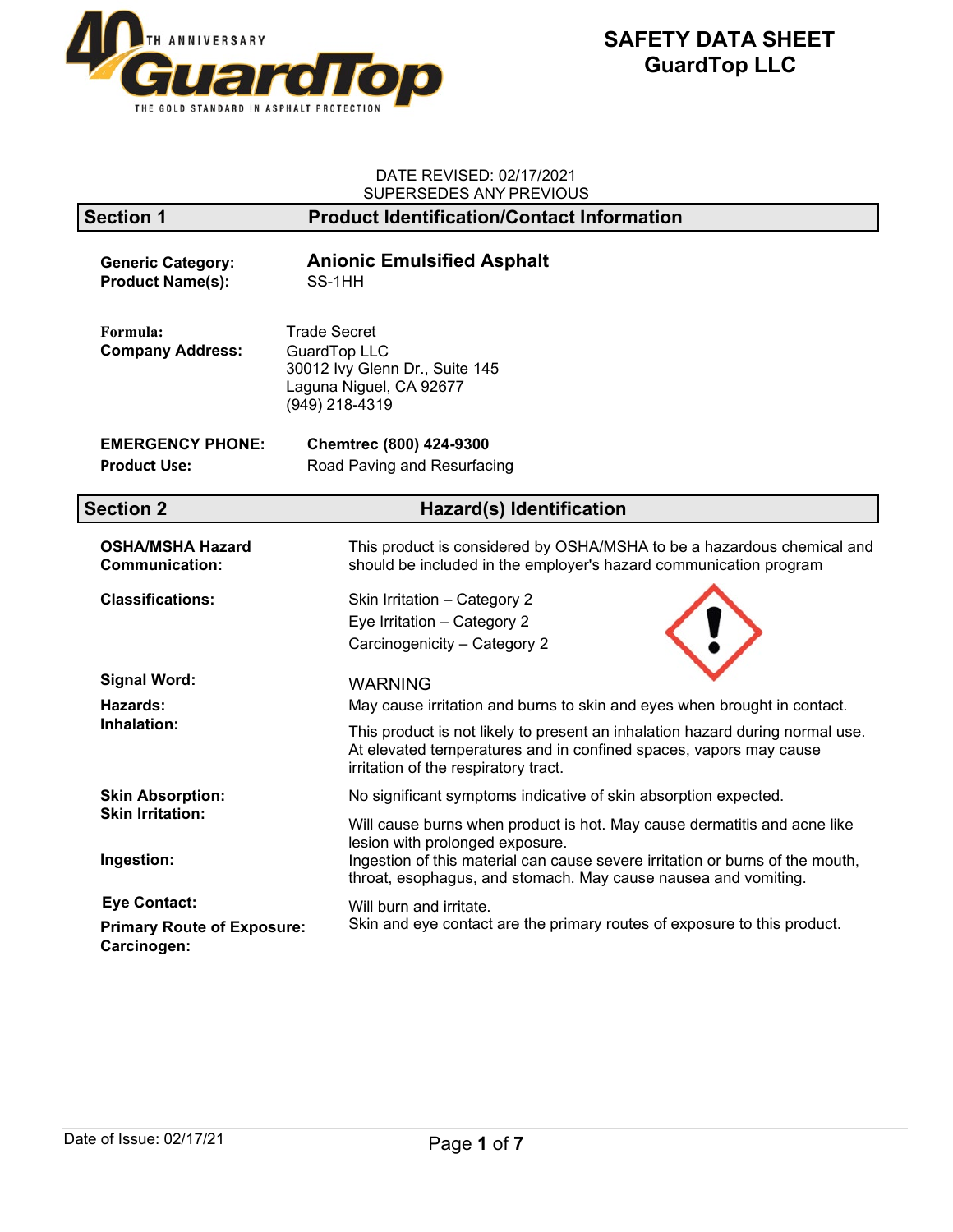

### DATE REVISED: 02/17/2021 SUPERSEDES ANY PREVIOUS

|                                                     | 001 LIVOLDLO ANTITIVLYIOOC                                                                                                                                                                 |
|-----------------------------------------------------|--------------------------------------------------------------------------------------------------------------------------------------------------------------------------------------------|
| <b>Section 1</b>                                    | <b>Product Identification/Contact Information</b>                                                                                                                                          |
| <b>Generic Category:</b><br><b>Product Name(s):</b> | <b>Anionic Emulsified Asphalt</b><br>SS-1HH                                                                                                                                                |
| Formula:<br><b>Company Address:</b>                 | <b>Trade Secret</b><br><b>GuardTop LLC</b><br>30012 Ivy Glenn Dr., Suite 145<br>Laguna Niguel, CA 92677<br>(949) 218-4319                                                                  |
| <b>EMERGENCY PHONE:</b>                             | Chemtrec (800) 424-9300                                                                                                                                                                    |
| <b>Product Use:</b>                                 | Road Paving and Resurfacing                                                                                                                                                                |
|                                                     |                                                                                                                                                                                            |
| <b>Section 2</b>                                    | <b>Hazard(s) Identification</b>                                                                                                                                                            |
| <b>OSHA/MSHA Hazard</b><br><b>Communication:</b>    | This product is considered by OSHA/MSHA to be a hazardous chemical and<br>should be included in the employer's hazard communication program                                                |
| <b>Classifications:</b>                             | Skin Irritation - Category 2                                                                                                                                                               |
|                                                     | Eye Irritation - Category 2                                                                                                                                                                |
|                                                     | Carcinogenicity - Category 2                                                                                                                                                               |
| <b>Signal Word:</b>                                 | <b>WARNING</b>                                                                                                                                                                             |
| Hazards:                                            | May cause irritation and burns to skin and eyes when brought in contact.                                                                                                                   |
| Inhalation:                                         | This product is not likely to present an inhalation hazard during normal use.<br>At elevated temperatures and in confined spaces, vapors may cause<br>irritation of the respiratory tract. |
| <b>Skin Absorption:</b>                             | No significant symptoms indicative of skin absorption expected.                                                                                                                            |
| <b>Skin Irritation:</b>                             | Will cause burns when product is hot. May cause dermatitis and acne like<br>lesion with prolonged exposure.                                                                                |
| Ingestion:                                          | Ingestion of this material can cause severe irritation or burns of the mouth,<br>throat, esophagus, and stomach. May cause nausea and vomiting.                                            |
| <b>Eye Contact:</b>                                 | Will burn and irritate.                                                                                                                                                                    |
| <b>Primary Route of Exposure:</b><br>Carcinogen:    | Skin and eye contact are the primary routes of exposure to this product.                                                                                                                   |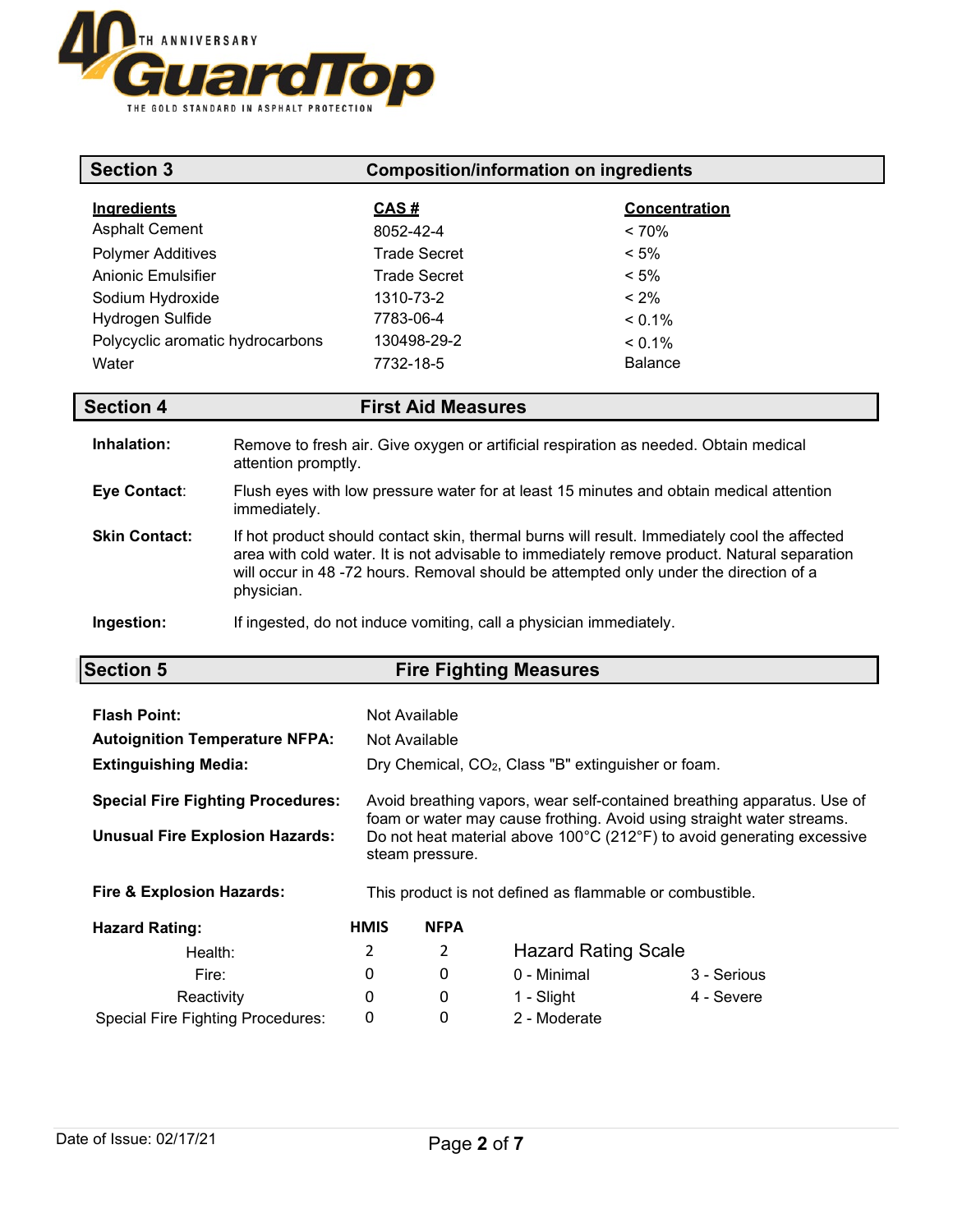

| <b>Section 3</b>                            |                     | <b>Composition/information on ingredients</b>                      |                                                                                                                                                                                                                                                                                      |
|---------------------------------------------|---------------------|--------------------------------------------------------------------|--------------------------------------------------------------------------------------------------------------------------------------------------------------------------------------------------------------------------------------------------------------------------------------|
| <b>Ingredients</b><br><b>Asphalt Cement</b> |                     | <u>CAS #</u><br>8052-42-4                                          | <b>Concentration</b><br>< 70%                                                                                                                                                                                                                                                        |
| <b>Polymer Additives</b>                    |                     | <b>Trade Secret</b>                                                | $< 5\%$                                                                                                                                                                                                                                                                              |
| Anionic Emulsifier                          |                     | <b>Trade Secret</b>                                                | $< 5\%$                                                                                                                                                                                                                                                                              |
| Sodium Hydroxide                            |                     | 1310-73-2                                                          | $< 2\%$                                                                                                                                                                                                                                                                              |
| Hydrogen Sulfide                            |                     | 7783-06-4                                                          | $< 0.1\%$                                                                                                                                                                                                                                                                            |
| Polycyclic aromatic hydrocarbons            |                     | 130498-29-2                                                        | $< 0.1\%$                                                                                                                                                                                                                                                                            |
| Water                                       |                     | 7732-18-5                                                          | <b>Balance</b>                                                                                                                                                                                                                                                                       |
| <b>Section 4</b>                            |                     | <b>First Aid Measures</b>                                          |                                                                                                                                                                                                                                                                                      |
| Inhalation:                                 | attention promptly. |                                                                    | Remove to fresh air. Give oxygen or artificial respiration as needed. Obtain medical                                                                                                                                                                                                 |
| Eye Contact:                                | immediately.        |                                                                    | Flush eyes with low pressure water for at least 15 minutes and obtain medical attention                                                                                                                                                                                              |
| <b>Skin Contact:</b>                        | physician.          |                                                                    | If hot product should contact skin, thermal burns will result. Immediately cool the affected<br>area with cold water. It is not advisable to immediately remove product. Natural separation<br>will occur in 48 -72 hours. Removal should be attempted only under the direction of a |
| Ingestion:                                  |                     | If ingested, do not induce vomiting, call a physician immediately. |                                                                                                                                                                                                                                                                                      |

| <b>Section 5</b> | <b>Fire Fighting Measures</b> |
|------------------|-------------------------------|
|                  |                               |

| <b>Flash Point:</b><br><b>Autoignition Temperature NFPA:</b><br><b>Extinguishing Media:</b> |             | Not Available<br>Not Available | Dry Chemical, CO <sub>2</sub> , Class "B" extinguisher or foam. |                                                                                                                                                  |
|---------------------------------------------------------------------------------------------|-------------|--------------------------------|-----------------------------------------------------------------|--------------------------------------------------------------------------------------------------------------------------------------------------|
| <b>Special Fire Fighting Procedures:</b>                                                    |             |                                |                                                                 | Avoid breathing vapors, wear self-contained breathing apparatus. Use of<br>foam or water may cause frothing. Avoid using straight water streams. |
| <b>Unusual Fire Explosion Hazards:</b>                                                      |             | steam pressure.                |                                                                 | Do not heat material above 100°C (212°F) to avoid generating excessive                                                                           |
| <b>Fire &amp; Explosion Hazards:</b>                                                        |             |                                | This product is not defined as flammable or combustible.        |                                                                                                                                                  |
| <b>Hazard Rating:</b>                                                                       | <b>HMIS</b> | <b>NFPA</b>                    |                                                                 |                                                                                                                                                  |
| Health:                                                                                     | 2           | 2                              | <b>Hazard Rating Scale</b>                                      |                                                                                                                                                  |
| Fire:                                                                                       | 0           | 0                              | 0 - Minimal                                                     | 3 - Serious                                                                                                                                      |
| Reactivity                                                                                  | 0           | 0                              | 1 - Slight                                                      | 4 - Severe                                                                                                                                       |
| <b>Special Fire Fighting Procedures:</b>                                                    | 0           | 0                              | 2 - Moderate                                                    |                                                                                                                                                  |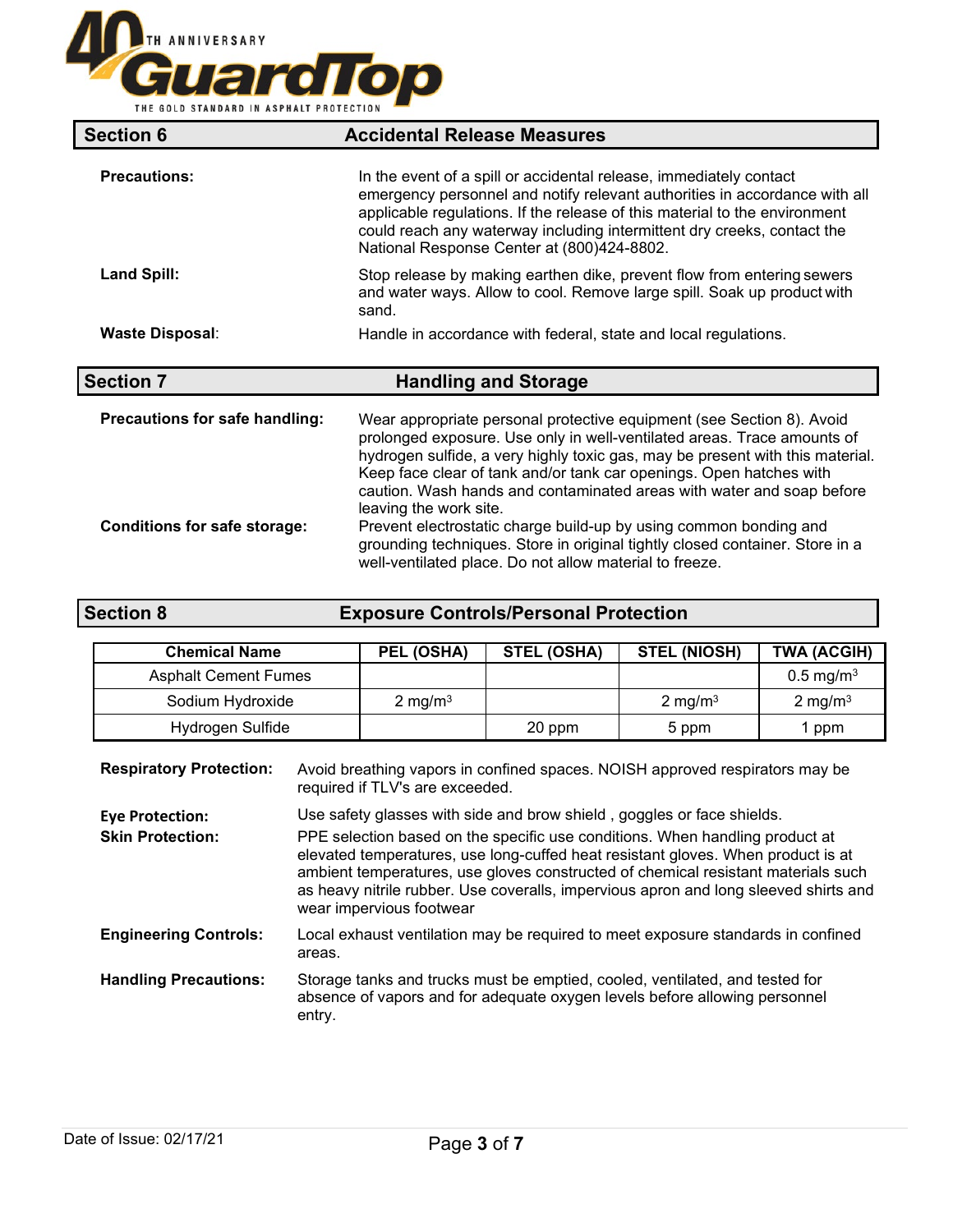

| <b>Section 6</b>               | <b>Accidental Release Measures</b>                                                                                                                                                                                                                                                                                                                                                                          |
|--------------------------------|-------------------------------------------------------------------------------------------------------------------------------------------------------------------------------------------------------------------------------------------------------------------------------------------------------------------------------------------------------------------------------------------------------------|
| <b>Precautions:</b>            | In the event of a spill or accidental release, immediately contact<br>emergency personnel and notify relevant authorities in accordance with all<br>applicable regulations. If the release of this material to the environment<br>could reach any waterway including intermittent dry creeks, contact the<br>National Response Center at (800)424-8802.                                                     |
| <b>Land Spill:</b>             | Stop release by making earthen dike, prevent flow from entering sewers<br>and water ways. Allow to cool. Remove large spill. Soak up product with<br>sand.                                                                                                                                                                                                                                                  |
| <b>Waste Disposal:</b>         | Handle in accordance with federal, state and local regulations.                                                                                                                                                                                                                                                                                                                                             |
| <b>Section 7</b>               | <b>Handling and Storage</b>                                                                                                                                                                                                                                                                                                                                                                                 |
|                                |                                                                                                                                                                                                                                                                                                                                                                                                             |
| Precautions for safe handling: | Wear appropriate personal protective equipment (see Section 8). Avoid<br>prolonged exposure. Use only in well-ventilated areas. Trace amounts of<br>hydrogen sulfide, a very highly toxic gas, may be present with this material.<br>Keep face clear of tank and/or tank car openings. Open hatches with<br>caution. Wash hands and contaminated areas with water and soap before<br>leaving the work site. |

| <b>Section 8</b> | <b>Exposure Controls/Personal Protection</b> |
|------------------|----------------------------------------------|
|                  |                                              |

| <b>Chemical Name</b>        | PEL (OSHA) | <b>STEL (OSHA)</b> | <b>STEL (NIOSH)</b> | <b>TWA (ACGIH)</b>      |
|-----------------------------|------------|--------------------|---------------------|-------------------------|
| <b>Asphalt Cement Fumes</b> |            |                    |                     | $0.5 \,\mathrm{mg/m^3}$ |
| Sodium Hydroxide            | 2 mg/m $3$ |                    | 2 mg/m <sup>3</sup> | 2 mg/m <sup>3</sup>     |
| Hydrogen Sulfide            |            | 20 ppm             | 5 ppm               | ppm                     |

| <b>Respiratory Protection:</b>                    | Avoid breathing vapors in confined spaces. NOISH approved respirators may be<br>required if TLV's are exceeded.                                                                                                                                                                                                                                                                                                                                     |
|---------------------------------------------------|-----------------------------------------------------------------------------------------------------------------------------------------------------------------------------------------------------------------------------------------------------------------------------------------------------------------------------------------------------------------------------------------------------------------------------------------------------|
| <b>Eye Protection:</b><br><b>Skin Protection:</b> | Use safety glasses with side and brow shield, goggles or face shields.<br>PPE selection based on the specific use conditions. When handling product at<br>elevated temperatures, use long-cuffed heat resistant gloves. When product is at<br>ambient temperatures, use gloves constructed of chemical resistant materials such<br>as heavy nitrile rubber. Use coveralls, impervious apron and long sleeved shirts and<br>wear impervious footwear |
| <b>Engineering Controls:</b>                      | Local exhaust ventilation may be required to meet exposure standards in confined<br>areas.                                                                                                                                                                                                                                                                                                                                                          |
| <b>Handling Precautions:</b>                      | Storage tanks and trucks must be emptied, cooled, ventilated, and tested for<br>absence of vapors and for adequate oxygen levels before allowing personnel<br>entry.                                                                                                                                                                                                                                                                                |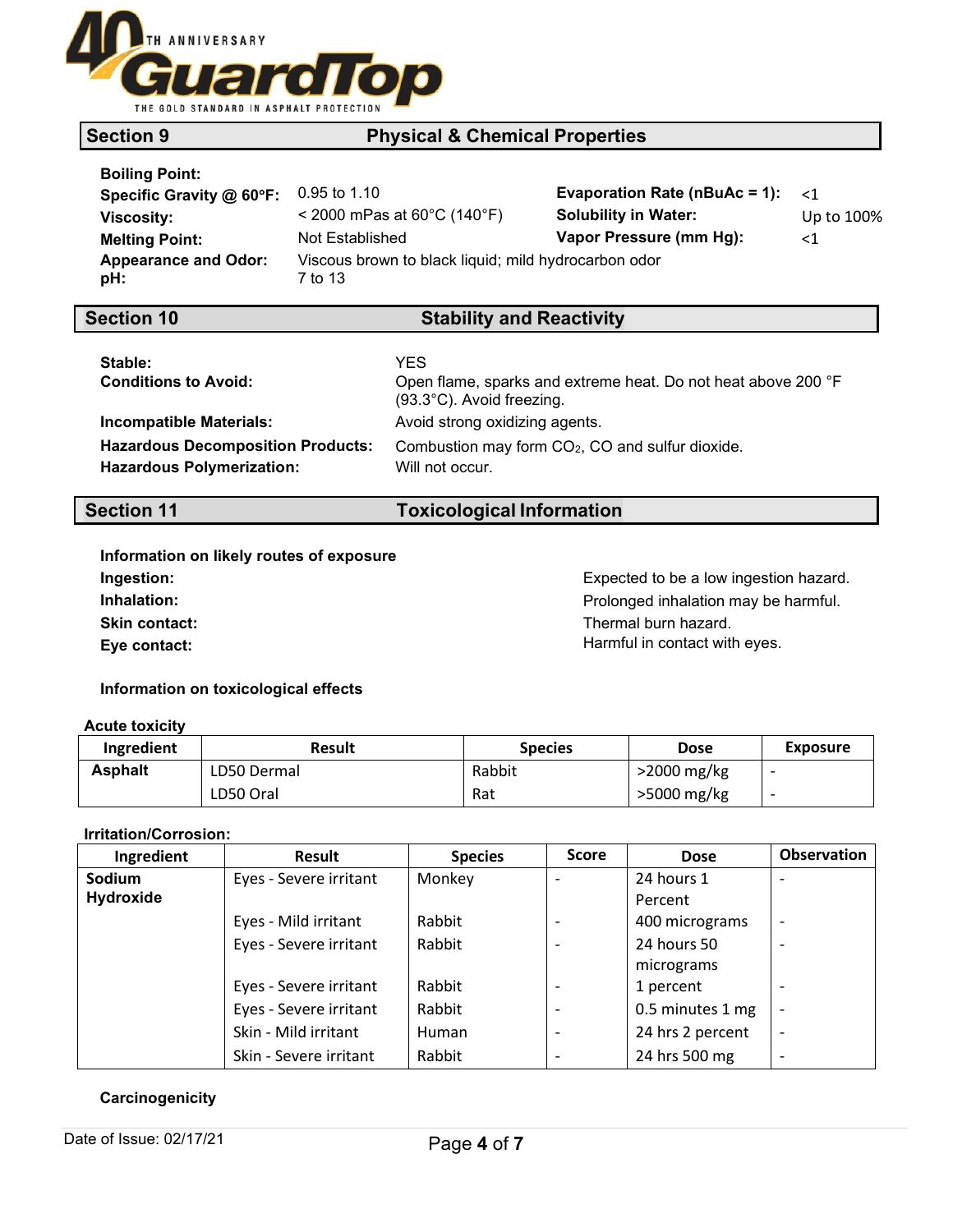

# 100°C (212°F) **Vapor Density (Air= 1) :** >1 **Section 9 Physical & Chemical Properties**

| <b>Boiling Point:</b> |  |
|-----------------------|--|

| Specific Gravity @ 60°F:           | $0.95$ to 1.10                                                  | Evaporation Rate (nBuAc = 1): $\lt 1$ |            |
|------------------------------------|-----------------------------------------------------------------|---------------------------------------|------------|
| Viscosity:                         | $<$ 2000 mPas at 60 $^{\circ}$ C (140 $^{\circ}$ F)             | <b>Solubility in Water:</b>           | Up to 100% |
| <b>Melting Point:</b>              | Not Established                                                 | Vapor Pressure (mm Hg):               | ${<}1$     |
| <b>Appearance and Odor:</b><br>pH: | Viscous brown to black liquid; mild hydrocarbon odor<br>7 to 13 |                                       |            |

## **Section 10 Stability and Reactivity**

| Stable:<br><b>Conditions to Avoid:</b>                                       | YES<br>Open flame, sparks and extreme heat. Do not heat above 200 °F<br>(93.3°C). Avoid freezing. |
|------------------------------------------------------------------------------|---------------------------------------------------------------------------------------------------|
| Incompatible Materials:                                                      | Avoid strong oxidizing agents.                                                                    |
| <b>Hazardous Decomposition Products:</b><br><b>Hazardous Polymerization:</b> | Combustion may form CO <sub>2</sub> , CO and sulfur dioxide.<br>Will not occur.                   |

## **Section 11 Toxicological Information**

| Information on likely routes of exposure |
|------------------------------------------|
| Ingestion:                               |
| Inhalation:                              |
| <b>Skin contact:</b>                     |
| Eve contact:                             |
|                                          |

Expected to be a low ingestion hazard. **Inhalation:** Prolonged inhalation may be harmful. Thermal burn hazard. **Eye contact:** Harmful in contact with eyes.

**Information on toxicological effects**

### **Acute toxicity**

| Ingredient     | <b>Result</b> | <b>Species</b> | <b>Dose</b>   | Exposure |
|----------------|---------------|----------------|---------------|----------|
| <b>Asphalt</b> | LD50 Dermal   | Rabbit         | >2000 mg/kg   |          |
|                | LD50 Oral     | Rat            | $>5000$ mg/kg |          |

### **Irritation/Corrosion:**

| Ingredient    | <b>Result</b>          | <b>Species</b> | <b>Score</b>             | <b>Dose</b>      | <b>Observation</b>       |
|---------------|------------------------|----------------|--------------------------|------------------|--------------------------|
| <b>Sodium</b> | Eyes - Severe irritant | Monkey         | $\blacksquare$           | 24 hours 1       |                          |
| Hydroxide     |                        |                |                          | Percent          |                          |
|               | Eyes - Mild irritant   | Rabbit         | $\overline{\phantom{a}}$ | 400 micrograms   | $\overline{a}$           |
|               | Eyes - Severe irritant | Rabbit         | $\overline{\phantom{a}}$ | 24 hours 50      | $\overline{\phantom{a}}$ |
|               |                        |                |                          | micrograms       |                          |
|               | Eyes - Severe irritant | Rabbit         | $\overline{\phantom{0}}$ | 1 percent        |                          |
|               | Eyes - Severe irritant | Rabbit         | $\overline{\phantom{a}}$ | 0.5 minutes 1 mg | $\overline{\phantom{a}}$ |
|               | Skin - Mild irritant   | Human          | $\overline{\phantom{a}}$ | 24 hrs 2 percent | $\overline{\phantom{0}}$ |
|               | Skin - Severe irritant | Rabbit         | -                        | 24 hrs 500 mg    | -                        |

### **Carcinogenicity**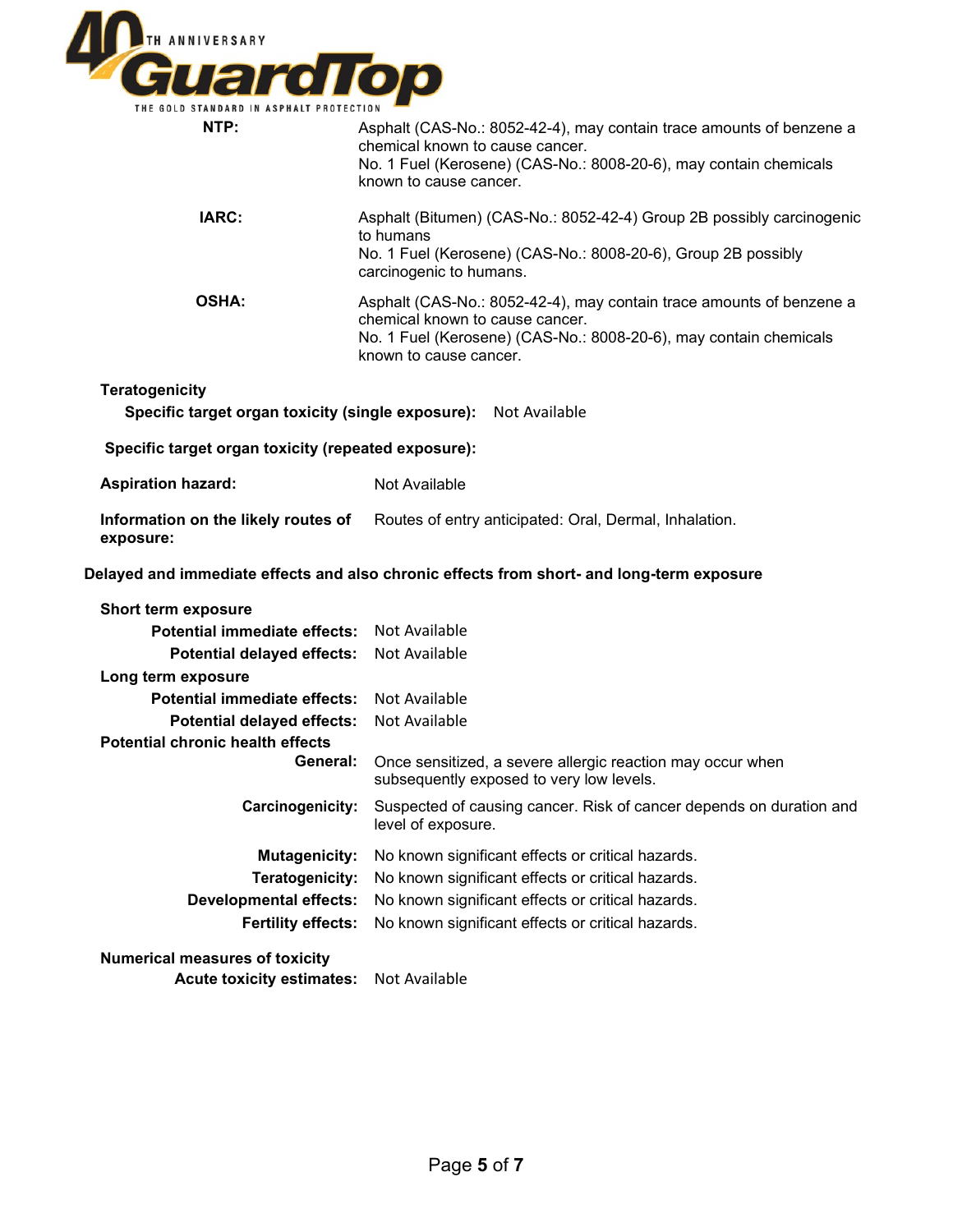

| THE GOLD STANDARD IN ASPHALT PROTECTION                         |                                                                                                                                                                                                        |
|-----------------------------------------------------------------|--------------------------------------------------------------------------------------------------------------------------------------------------------------------------------------------------------|
| NTP:                                                            | Asphalt (CAS-No.: 8052-42-4), may contain trace amounts of benzene a<br>chemical known to cause cancer.<br>No. 1 Fuel (Kerosene) (CAS-No.: 8008-20-6), may contain chemicals<br>known to cause cancer. |
| IARC:                                                           | Asphalt (Bitumen) (CAS-No.: 8052-42-4) Group 2B possibly carcinogenic<br>to humans<br>No. 1 Fuel (Kerosene) (CAS-No.: 8008-20-6), Group 2B possibly<br>carcinogenic to humans.                         |
| <b>OSHA:</b>                                                    | Asphalt (CAS-No.: 8052-42-4), may contain trace amounts of benzene a<br>chemical known to cause cancer.<br>No. 1 Fuel (Kerosene) (CAS-No.: 8008-20-6), may contain chemicals<br>known to cause cancer. |
| <b>Teratogenicity</b>                                           |                                                                                                                                                                                                        |
| Specific target organ toxicity (single exposure): Not Available |                                                                                                                                                                                                        |
| Specific target organ toxicity (repeated exposure):             |                                                                                                                                                                                                        |
| <b>Aspiration hazard:</b>                                       | Not Available                                                                                                                                                                                          |
| Information on the likely routes of<br>exposure:                | Routes of entry anticipated: Oral, Dermal, Inhalation.                                                                                                                                                 |
|                                                                 | Delayed and immediate effects and also chronic effects from short- and long-term exposure                                                                                                              |
| Short term exposure                                             |                                                                                                                                                                                                        |
| <b>Potential immediate effects:</b>                             | Not Available                                                                                                                                                                                          |
| <b>Potential delayed effects:</b>                               | Not Available                                                                                                                                                                                          |
| Long term exposure                                              |                                                                                                                                                                                                        |
| Potential immediate effects:                                    | Not Available                                                                                                                                                                                          |
| <b>Potential delayed effects:</b>                               | Not Available                                                                                                                                                                                          |
| <b>Potential chronic health effects</b>                         |                                                                                                                                                                                                        |
| General:                                                        | Once sensitized, a severe allergic reaction may occur when<br>subsequently exposed to very low levels.                                                                                                 |
| Carcinogenicity:                                                | Suspected of causing cancer. Risk of cancer depends on duration and<br>level of exposure.                                                                                                              |
| <b>Mutagenicity:</b>                                            | No known significant effects or critical hazards.                                                                                                                                                      |
| Teratogenicity:                                                 | No known significant effects or critical hazards.                                                                                                                                                      |
| <b>Developmental effects:</b>                                   | No known significant effects or critical hazards.                                                                                                                                                      |
| <b>Fertility effects:</b>                                       | No known significant effects or critical hazards.                                                                                                                                                      |
| <b>Numerical measures of toxicity</b>                           |                                                                                                                                                                                                        |
| <b>Acute toxicity estimates:</b>                                | Not Available                                                                                                                                                                                          |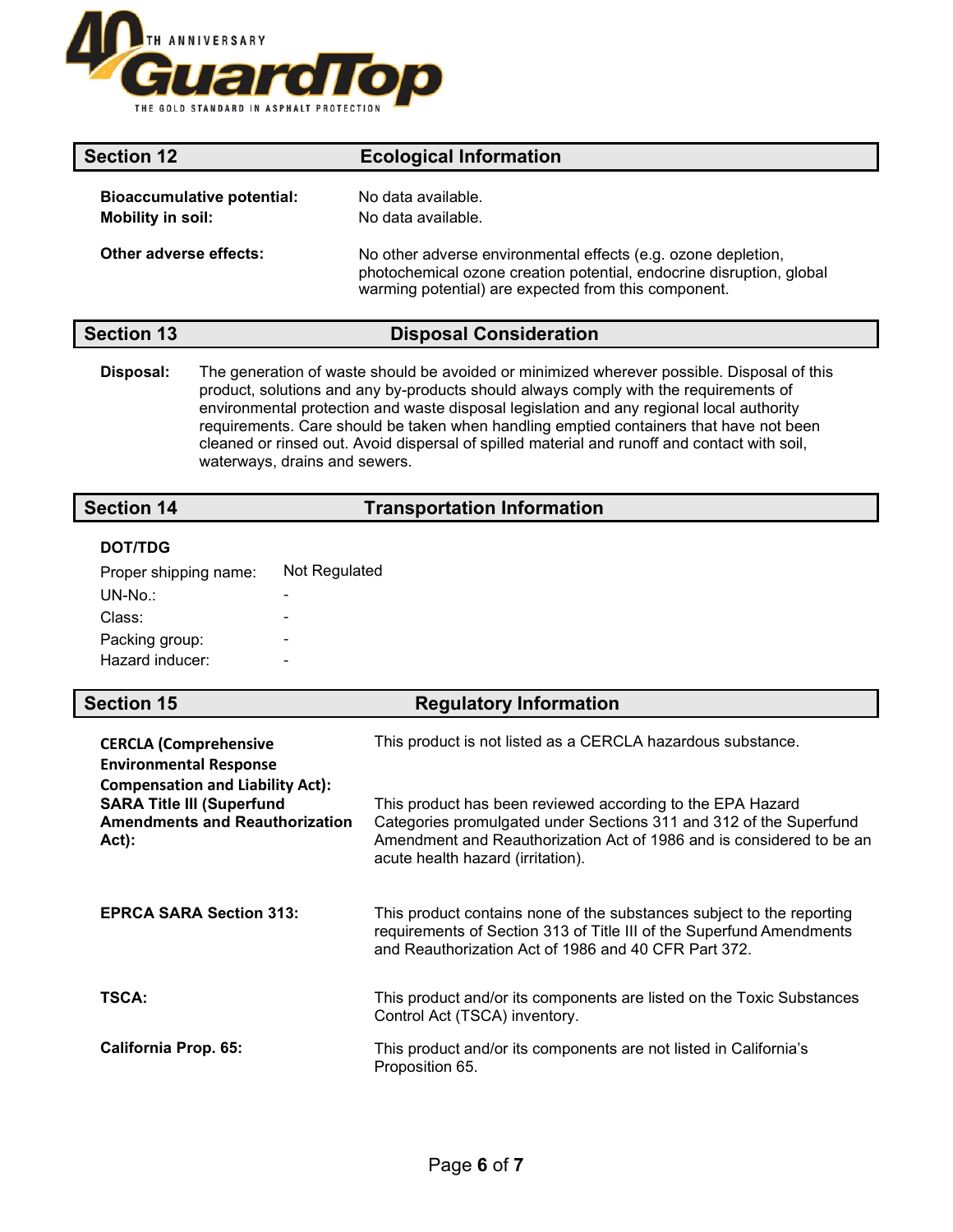

| <b>Section 12</b>                                             | <b>Ecological Information</b>                                                                                                                                                                 |
|---------------------------------------------------------------|-----------------------------------------------------------------------------------------------------------------------------------------------------------------------------------------------|
| <b>Bioaccumulative potential:</b><br><b>Mobility in soil:</b> | No data available.<br>No data available.                                                                                                                                                      |
| Other adverse effects:                                        | No other adverse environmental effects (e.g. ozone depletion,<br>photochemical ozone creation potential, endocrine disruption, global<br>warming potential) are expected from this component. |

### **Section 13 Disposal Consideration**

**Disposal:** The generation of waste should be avoided or minimized wherever possible. Disposal of this product, solutions and any by-products should always comply with the requirements of environmental protection and waste disposal legislation and any regional local authority requirements. Care should be taken when handling emptied containers that have not been cleaned or rinsed out. Avoid dispersal of spilled material and runoff and contact with soil, waterways, drains and sewers.

## **Section 14 Transportation Information**

### **DOT/TDG**

| Proper shipping name: | Not Regulated |
|-----------------------|---------------|
| UN-No.:               |               |
| Class:                |               |
| Packing group:        |               |
| Hazard inducer:       |               |

### **Section 15 Regulatory Information**

| <b>CERCLA (Comprehensive</b><br><b>Environmental Response</b>                                                                    | This product is not listed as a CERCLA hazardous substance.                                                                                                                                                                                   |
|----------------------------------------------------------------------------------------------------------------------------------|-----------------------------------------------------------------------------------------------------------------------------------------------------------------------------------------------------------------------------------------------|
| <b>Compensation and Liability Act):</b><br><b>SARA Title III (Superfund</b><br><b>Amendments and Reauthorization</b><br>$Act)$ : | This product has been reviewed according to the EPA Hazard<br>Categories promulgated under Sections 311 and 312 of the Superfund<br>Amendment and Reauthorization Act of 1986 and is considered to be an<br>acute health hazard (irritation). |
| <b>EPRCA SARA Section 313:</b>                                                                                                   | This product contains none of the substances subject to the reporting<br>requirements of Section 313 of Title III of the Superfund Amendments<br>and Reauthorization Act of 1986 and 40 CFR Part 372.                                         |
| TSCA:                                                                                                                            | This product and/or its components are listed on the Toxic Substances<br>Control Act (TSCA) inventory.                                                                                                                                        |
| <b>California Prop. 65:</b>                                                                                                      | This product and/or its components are not listed in California's<br>Proposition 65.                                                                                                                                                          |